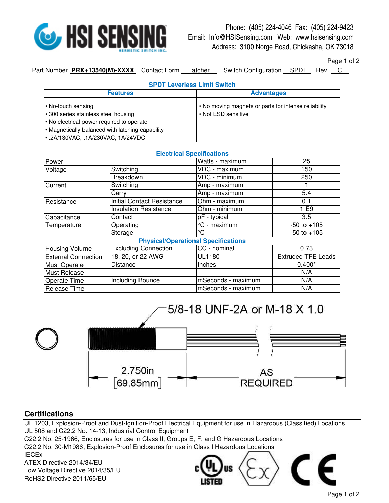

Phone: (405) 224-4046 Fax: (405) 224-9423 Email: Info@HSISensing.com Web: www.hsisensing.com Address: 3100 Norge Road, Chickasha, OK 73018

Page 1 of 2

Part Number **PRX+13540(M)-XXXX** Contact Form Latcher Switch Configuration SPDT Rev. C

| $\cdots$ |  |
|----------|--|

| <b>SPDT Leverless Limit Switch</b>                                                                                                                                                                |                                                                             |  |  |  |
|---------------------------------------------------------------------------------------------------------------------------------------------------------------------------------------------------|-----------------------------------------------------------------------------|--|--|--|
| <b>Features</b>                                                                                                                                                                                   | <b>Advantages</b>                                                           |  |  |  |
| • No-touch sensing<br>• 300 series stainless steel housing<br>• No electrical power required to operate<br>• Magnetically balanced with latching capability<br>• .2A/130VAC, .1A/230VAC, 1A/24VDC | • No moving magnets or parts for intense reliability<br>• Not ESD sensitive |  |  |  |

| <b>Electrical Specifications</b> |  |
|----------------------------------|--|
|                                  |  |

| Power                      |                              | Watts - maximum                            | 25                        |
|----------------------------|------------------------------|--------------------------------------------|---------------------------|
| Voltage                    | Switching                    | VDC - maximum                              | 150                       |
|                            | Breakdown                    | VDC - minimum                              | 250                       |
| Current                    | Switching                    | Amp - maximum                              |                           |
|                            | Carry                        | Amp - maximum                              | 5.4                       |
| Resistance                 | Initial Contact Resistance   | Ohm - maximum                              | 0.1                       |
|                            | <b>Insulation Resistance</b> | Ohm - minimum                              | 1 E9                      |
| Capacitance                | Contact                      | pF - typical                               | 3.5                       |
| Temperature                | Operating                    | °C - maximum                               | $-50$ to $+105$           |
|                            | Storage                      | °C                                         | $-50$ to $+105$           |
|                            |                              | <b>Physical/Operational Specifications</b> |                           |
| Housing Volume             | <b>Excluding Connection</b>  | CC - nominal                               | 0.73                      |
| <b>External Connection</b> | 18, 20, or 22 AWG            | UL1180                                     | <b>Extruded TFE Leads</b> |
| <b>Must Operate</b>        | <b>Distance</b>              | Inches                                     | $0.400*$                  |
| <b>Must Release</b>        |                              |                                            | N/A                       |
| Operate Time               | Including Bounce             | mSeconds - maximum                         | N/A                       |
| Release Time               |                              | mSeconds - maximum                         | N/A                       |



## **Certifications**

UL 1203, Explosion-Proof and Dust-Ignition-Proof Electrical Equipment for use in Hazardous (Classified) Locations UL 508 and C22.2 No. 14-13, Industrial Control Equipment C22.2 No. 25-1966, Enclosures for use in Class II, Groups E, F, and G Hazardous Locations C22.2 No. 30-M1986, Explosion-Proof Enclosures for use in Class I Hazardous Locations IECEx F ATEX Directive 2014/34/EU Low Voltage Directive 2014/35/EU RoHS2 Directive 2011/65/EU